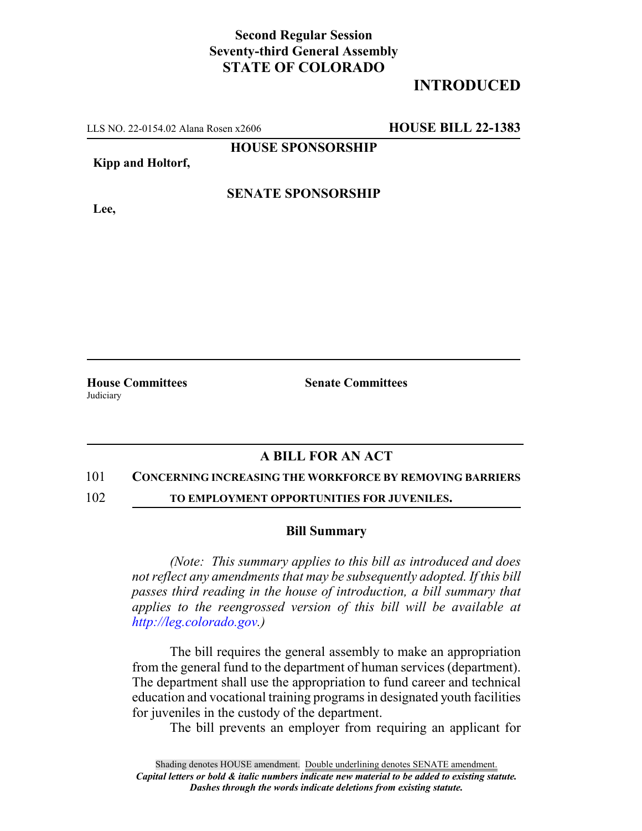## **Second Regular Session Seventy-third General Assembly STATE OF COLORADO**

## **INTRODUCED**

LLS NO. 22-0154.02 Alana Rosen x2606 **HOUSE BILL 22-1383**

**HOUSE SPONSORSHIP**

### **Kipp and Holtorf,**

### **SENATE SPONSORSHIP**

**Lee,**

**Judiciary** 

**House Committees Senate Committees**

## **A BILL FOR AN ACT**

### 101 **CONCERNING INCREASING THE WORKFORCE BY REMOVING BARRIERS**

102 **TO EMPLOYMENT OPPORTUNITIES FOR JUVENILES.**

### **Bill Summary**

*(Note: This summary applies to this bill as introduced and does not reflect any amendments that may be subsequently adopted. If this bill passes third reading in the house of introduction, a bill summary that applies to the reengrossed version of this bill will be available at http://leg.colorado.gov.)*

The bill requires the general assembly to make an appropriation from the general fund to the department of human services (department). The department shall use the appropriation to fund career and technical education and vocational training programs in designated youth facilities for juveniles in the custody of the department.

The bill prevents an employer from requiring an applicant for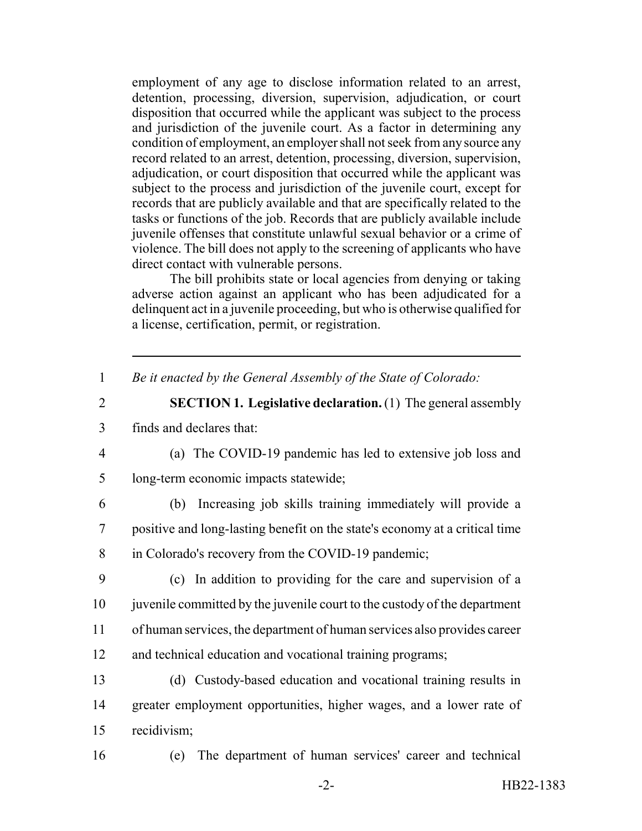employment of any age to disclose information related to an arrest, detention, processing, diversion, supervision, adjudication, or court disposition that occurred while the applicant was subject to the process and jurisdiction of the juvenile court. As a factor in determining any condition of employment, an employer shall not seek from any source any record related to an arrest, detention, processing, diversion, supervision, adjudication, or court disposition that occurred while the applicant was subject to the process and jurisdiction of the juvenile court, except for records that are publicly available and that are specifically related to the tasks or functions of the job. Records that are publicly available include juvenile offenses that constitute unlawful sexual behavior or a crime of violence. The bill does not apply to the screening of applicants who have direct contact with vulnerable persons.

The bill prohibits state or local agencies from denying or taking adverse action against an applicant who has been adjudicated for a delinquent act in a juvenile proceeding, but who is otherwise qualified for a license, certification, permit, or registration.

1 *Be it enacted by the General Assembly of the State of Colorado:*

# 2 **SECTION 1. Legislative declaration.** (1) The general assembly 3 finds and declares that:

4 (a) The COVID-19 pandemic has led to extensive job loss and 5 long-term economic impacts statewide;

6 (b) Increasing job skills training immediately will provide a 7 positive and long-lasting benefit on the state's economy at a critical time 8 in Colorado's recovery from the COVID-19 pandemic;

 (c) In addition to providing for the care and supervision of a juvenile committed by the juvenile court to the custody of the department of human services, the department of human services also provides career and technical education and vocational training programs;

13 (d) Custody-based education and vocational training results in 14 greater employment opportunities, higher wages, and a lower rate of 15 recidivism;

16 (e) The department of human services' career and technical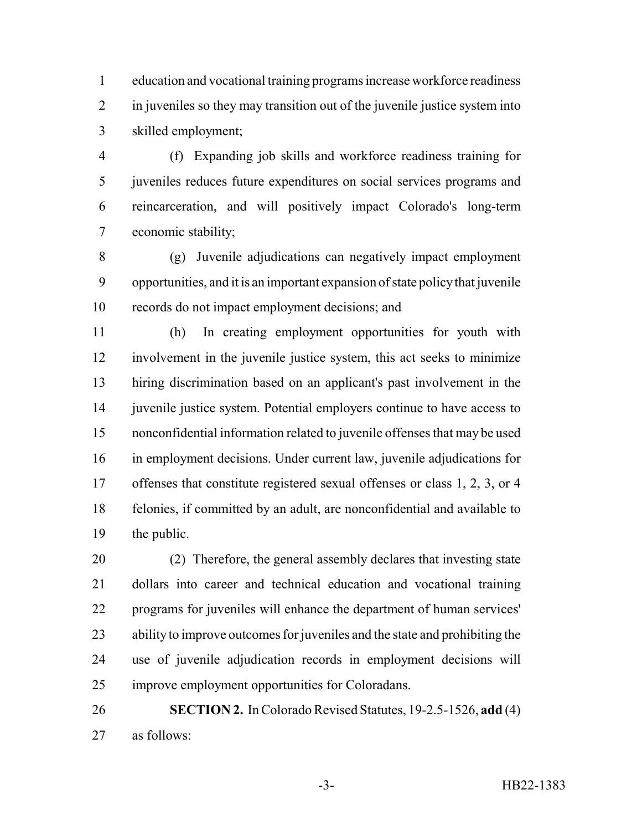education and vocational training programs increase workforce readiness in juveniles so they may transition out of the juvenile justice system into skilled employment;

 (f) Expanding job skills and workforce readiness training for juveniles reduces future expenditures on social services programs and reincarceration, and will positively impact Colorado's long-term economic stability;

 (g) Juvenile adjudications can negatively impact employment opportunities, and it is an important expansion of state policy that juvenile records do not impact employment decisions; and

 (h) In creating employment opportunities for youth with involvement in the juvenile justice system, this act seeks to minimize hiring discrimination based on an applicant's past involvement in the 14 juvenile justice system. Potential employers continue to have access to nonconfidential information related to juvenile offenses that may be used in employment decisions. Under current law, juvenile adjudications for offenses that constitute registered sexual offenses or class 1, 2, 3, or 4 felonies, if committed by an adult, are nonconfidential and available to the public.

 (2) Therefore, the general assembly declares that investing state dollars into career and technical education and vocational training programs for juveniles will enhance the department of human services' ability to improve outcomes for juveniles and the state and prohibiting the use of juvenile adjudication records in employment decisions will improve employment opportunities for Coloradans.

 **SECTION 2.** In Colorado Revised Statutes, 19-2.5-1526, **add** (4) as follows: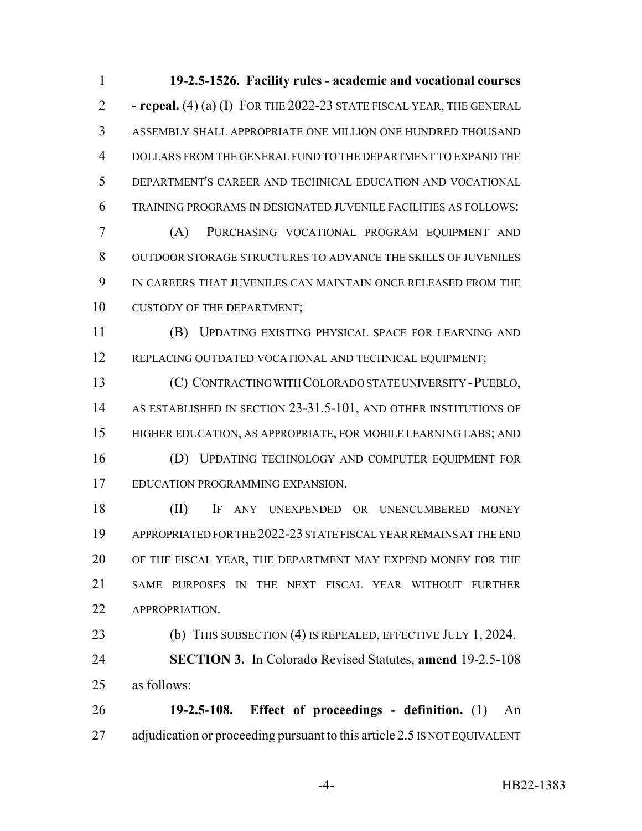**19-2.5-1526. Facility rules - academic and vocational courses - repeal.** (4) (a) (I) FOR THE 2022-23 STATE FISCAL YEAR, THE GENERAL ASSEMBLY SHALL APPROPRIATE ONE MILLION ONE HUNDRED THOUSAND DOLLARS FROM THE GENERAL FUND TO THE DEPARTMENT TO EXPAND THE DEPARTMENT'S CAREER AND TECHNICAL EDUCATION AND VOCATIONAL TRAINING PROGRAMS IN DESIGNATED JUVENILE FACILITIES AS FOLLOWS:

 (A) PURCHASING VOCATIONAL PROGRAM EQUIPMENT AND OUTDOOR STORAGE STRUCTURES TO ADVANCE THE SKILLS OF JUVENILES IN CAREERS THAT JUVENILES CAN MAINTAIN ONCE RELEASED FROM THE 10 CUSTODY OF THE DEPARTMENT;

 (B) UPDATING EXISTING PHYSICAL SPACE FOR LEARNING AND 12 REPLACING OUTDATED VOCATIONAL AND TECHNICAL EQUIPMENT;

 (C) CONTRACTING WITH COLORADO STATE UNIVERSITY -PUEBLO, 14 AS ESTABLISHED IN SECTION 23-31.5-101, AND OTHER INSTITUTIONS OF HIGHER EDUCATION, AS APPROPRIATE, FOR MOBILE LEARNING LABS; AND

 (D) UPDATING TECHNOLOGY AND COMPUTER EQUIPMENT FOR EDUCATION PROGRAMMING EXPANSION.

 (II) IF ANY UNEXPENDED OR UNENCUMBERED MONEY APPROPRIATED FOR THE 2022-23 STATE FISCAL YEAR REMAINS AT THE END OF THE FISCAL YEAR, THE DEPARTMENT MAY EXPEND MONEY FOR THE SAME PURPOSES IN THE NEXT FISCAL YEAR WITHOUT FURTHER **APPROPRIATION.** 

23 (b) THIS SUBSECTION (4) IS REPEALED, EFFECTIVE JULY 1, 2024. **SECTION 3.** In Colorado Revised Statutes, **amend** 19-2.5-108 as follows:

 **19-2.5-108. Effect of proceedings - definition.** (1) An 27 adjudication or proceeding pursuant to this article 2.5 IS NOT EQUIVALENT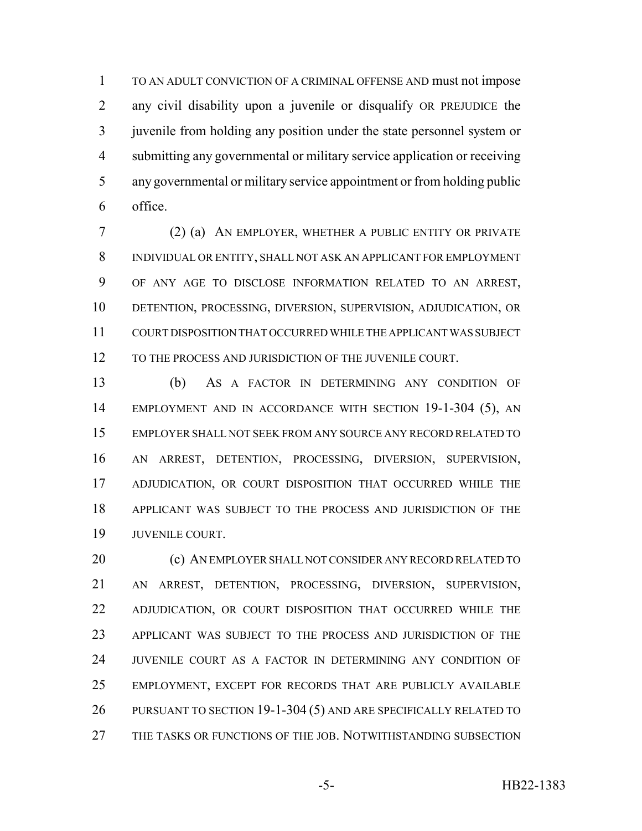TO AN ADULT CONVICTION OF A CRIMINAL OFFENSE AND must not impose any civil disability upon a juvenile or disqualify OR PREJUDICE the juvenile from holding any position under the state personnel system or submitting any governmental or military service application or receiving any governmental or military service appointment or from holding public office.

 (2) (a) AN EMPLOYER, WHETHER A PUBLIC ENTITY OR PRIVATE INDIVIDUAL OR ENTITY, SHALL NOT ASK AN APPLICANT FOR EMPLOYMENT OF ANY AGE TO DISCLOSE INFORMATION RELATED TO AN ARREST, DETENTION, PROCESSING, DIVERSION, SUPERVISION, ADJUDICATION, OR COURT DISPOSITION THAT OCCURRED WHILE THE APPLICANT WAS SUBJECT 12 TO THE PROCESS AND JURISDICTION OF THE JUVENILE COURT.

 (b) AS A FACTOR IN DETERMINING ANY CONDITION OF EMPLOYMENT AND IN ACCORDANCE WITH SECTION 19-1-304 (5), AN EMPLOYER SHALL NOT SEEK FROM ANY SOURCE ANY RECORD RELATED TO AN ARREST, DETENTION, PROCESSING, DIVERSION, SUPERVISION, 17 ADJUDICATION, OR COURT DISPOSITION THAT OCCURRED WHILE THE APPLICANT WAS SUBJECT TO THE PROCESS AND JURISDICTION OF THE JUVENILE COURT.

20 (c) AN EMPLOYER SHALL NOT CONSIDER ANY RECORD RELATED TO AN ARREST, DETENTION, PROCESSING, DIVERSION, SUPERVISION, 22 ADJUDICATION, OR COURT DISPOSITION THAT OCCURRED WHILE THE APPLICANT WAS SUBJECT TO THE PROCESS AND JURISDICTION OF THE JUVENILE COURT AS A FACTOR IN DETERMINING ANY CONDITION OF EMPLOYMENT, EXCEPT FOR RECORDS THAT ARE PUBLICLY AVAILABLE PURSUANT TO SECTION 19-1-304 (5) AND ARE SPECIFICALLY RELATED TO THE TASKS OR FUNCTIONS OF THE JOB. NOTWITHSTANDING SUBSECTION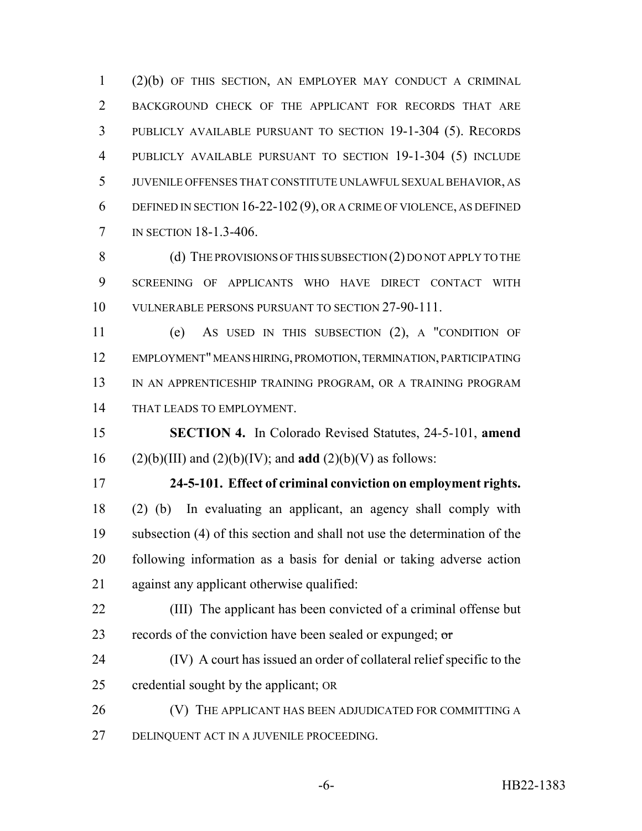(2)(b) OF THIS SECTION, AN EMPLOYER MAY CONDUCT A CRIMINAL BACKGROUND CHECK OF THE APPLICANT FOR RECORDS THAT ARE PUBLICLY AVAILABLE PURSUANT TO SECTION 19-1-304 (5). RECORDS PUBLICLY AVAILABLE PURSUANT TO SECTION 19-1-304 (5) INCLUDE JUVENILE OFFENSES THAT CONSTITUTE UNLAWFUL SEXUAL BEHAVIOR, AS DEFINED IN SECTION 16-22-102 (9), OR A CRIME OF VIOLENCE, AS DEFINED IN SECTION 18-1.3-406.

8 (d) THE PROVISIONS OF THIS SUBSECTION (2) DO NOT APPLY TO THE SCREENING OF APPLICANTS WHO HAVE DIRECT CONTACT WITH VULNERABLE PERSONS PURSUANT TO SECTION 27-90-111.

 (e) AS USED IN THIS SUBSECTION (2), A "CONDITION OF EMPLOYMENT" MEANS HIRING, PROMOTION, TERMINATION, PARTICIPATING 13 IN AN APPRENTICESHIP TRAINING PROGRAM, OR A TRAINING PROGRAM THAT LEADS TO EMPLOYMENT.

 **SECTION 4.** In Colorado Revised Statutes, 24-5-101, **amend** (2)(b)(III) and (2)(b)(IV); and **add** (2)(b)(V) as follows:

 **24-5-101. Effect of criminal conviction on employment rights.** (2) (b) In evaluating an applicant, an agency shall comply with subsection (4) of this section and shall not use the determination of the following information as a basis for denial or taking adverse action against any applicant otherwise qualified:

 (III) The applicant has been convicted of a criminal offense but 23 records of the conviction have been sealed or expunged;  $\sigma$ 

 (IV) A court has issued an order of collateral relief specific to the credential sought by the applicant; OR

26 (V) THE APPLICANT HAS BEEN ADJUDICATED FOR COMMITTING A DELINQUENT ACT IN A JUVENILE PROCEEDING.